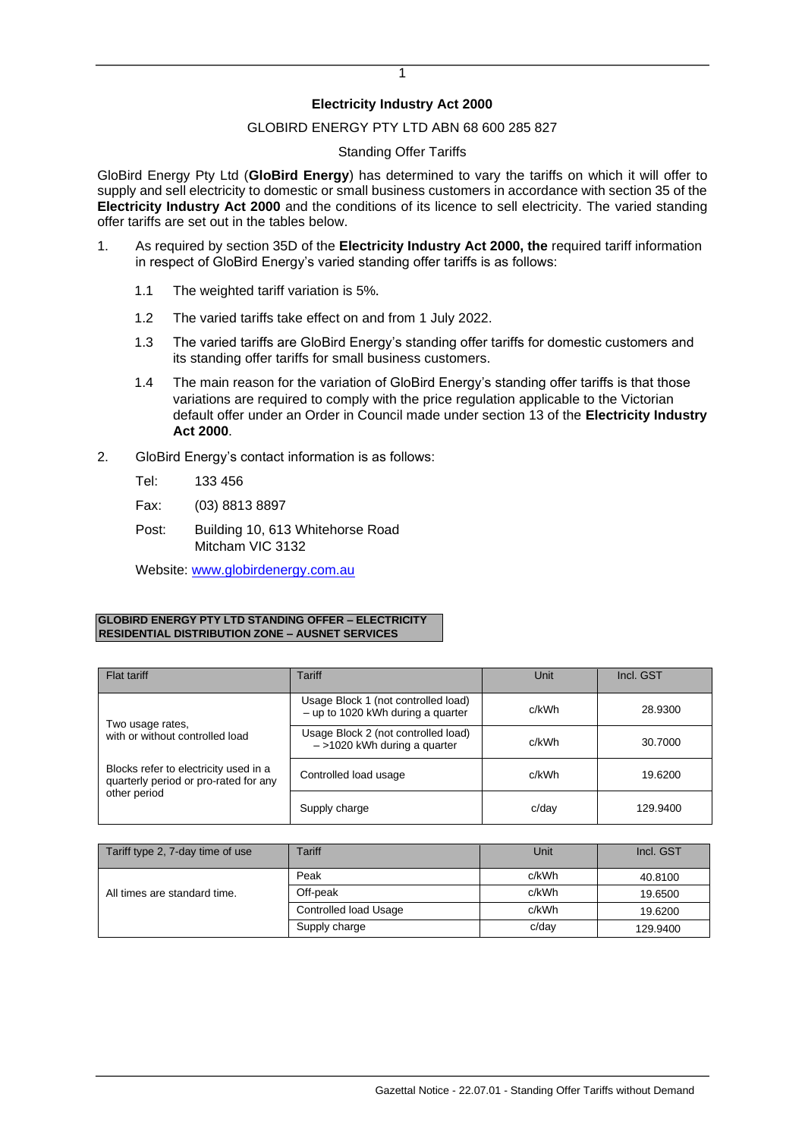# **Electricity Industry Act 2000**

# GLOBIRD ENERGY PTY LTD ABN 68 600 285 827

### Standing Offer Tariffs

GloBird Energy Pty Ltd (**GloBird Energy**) has determined to vary the tariffs on which it will offer to supply and sell electricity to domestic or small business customers in accordance with section 35 of the **Electricity Industry Act 2000** and the conditions of its licence to sell electricity. The varied standing offer tariffs are set out in the tables below.

- 1. As required by section 35D of the **Electricity Industry Act 2000, the** required tariff information in respect of GloBird Energy's varied standing offer tariffs is as follows:
	- 1.1 The weighted tariff variation is 5%.
	- 1.2 The varied tariffs take effect on and from 1 July 2022.
	- 1.3 The varied tariffs are GloBird Energy's standing offer tariffs for domestic customers and its standing offer tariffs for small business customers.
	- 1.4 The main reason for the variation of GloBird Energy's standing offer tariffs is that those variations are required to comply with the price regulation applicable to the Victorian default offer under an Order in Council made under section 13 of the **Electricity Industry Act 2000**.
- 2. GloBird Energy's contact information is as follows:
	- Tel: 133 456
	- Fax: (03) 8813 8897
	- Post: Building 10, 613 Whitehorse Road Mitcham VIC 3132

Website: [www.globirdenergy.com.au](http://www.globirdenergy.com.au/)

### **GLOBIRD ENERGY PTY LTD STANDING OFFER – ELECTRICITY RESIDENTIAL DISTRIBUTION ZONE – AUSNET SERVICES**

| Flat tariff                                                                    | Tariff                                                                     | Unit  | Incl. GST |
|--------------------------------------------------------------------------------|----------------------------------------------------------------------------|-------|-----------|
| Two usage rates,                                                               | Usage Block 1 (not controlled load)<br>$-$ up to 1020 kWh during a quarter | c/kWh | 28.9300   |
| with or without controlled load                                                | Usage Block 2 (not controlled load)<br>$-$ >1020 kWh during a quarter      | c/kWh | 30.7000   |
| Blocks refer to electricity used in a<br>quarterly period or pro-rated for any | Controlled load usage                                                      | c/kWh | 19.6200   |
| other period                                                                   | Supply charge                                                              | c/dav | 129.9400  |

| Tariff type 2, 7-day time of use | Tariff                | Unit     | Incl. GST |
|----------------------------------|-----------------------|----------|-----------|
| All times are standard time.     | Peak                  | c/kWh    | 40.8100   |
|                                  | Off-peak              | c/kWh    | 19.6500   |
|                                  | Controlled load Usage | c/kWh    | 19.6200   |
|                                  | Supply charge         | $c$ /day | 129.9400  |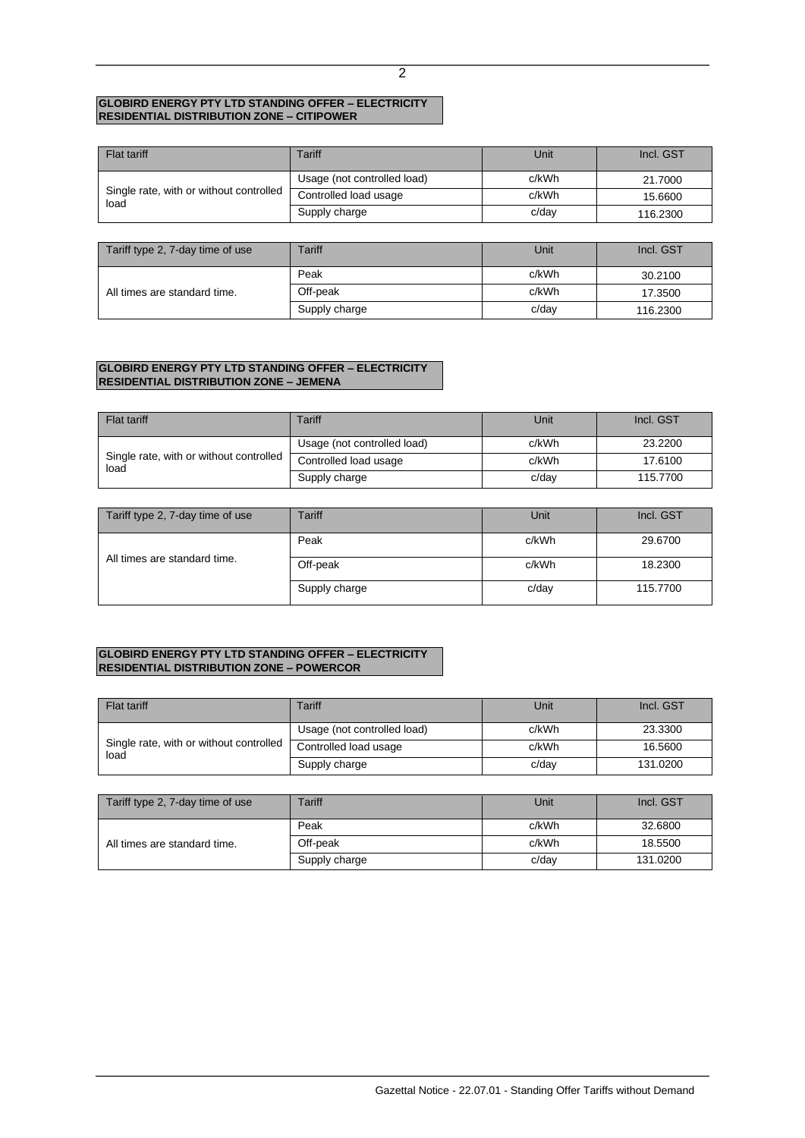#### **GLOBIRD ENERGY PTY LTD STANDING OFFER – ELECTRICITY RESIDENTIAL DISTRIBUTION ZONE – CITIPOWER**

| <b>Flat tariff</b>                              | Tariff                      | Unit  | Incl. GST |
|-------------------------------------------------|-----------------------------|-------|-----------|
| Single rate, with or without controlled<br>load | Usage (not controlled load) | c/kWh | 21.7000   |
|                                                 | Controlled load usage       | c/kWh | 15.6600   |
|                                                 | Supply charge               | c/day | 116.2300  |

| Tariff type 2, 7-day time of use | Tariff        | Unit  | Incl. GST |
|----------------------------------|---------------|-------|-----------|
| All times are standard time.     | Peak          | c/kWh | 30.2100   |
|                                  | Off-peak      | c/kWh | 17.3500   |
|                                  | Supply charge | c/dav | 116.2300  |

## **GLOBIRD ENERGY PTY LTD STANDING OFFER – ELECTRICITY RESIDENTIAL DISTRIBUTION ZONE – JEMENA**

| Flat tariff                                     | Tariff                      | Unit  | Incl. GST |
|-------------------------------------------------|-----------------------------|-------|-----------|
| Single rate, with or without controlled<br>load | Usage (not controlled load) | c/kWh | 23.2200   |
|                                                 | Controlled load usage       | c/kWh | 17.6100   |
|                                                 | Supply charge               | c/dav | 115,7700  |

| Tariff type 2, 7-day time of use | Tariff        | Unit  | Incl. GST |
|----------------------------------|---------------|-------|-----------|
|                                  | Peak          | c/kWh | 29,6700   |
| All times are standard time.     | Off-peak      | c/kWh | 18.2300   |
|                                  | Supply charge | c/dav | 115,7700  |

## **GLOBIRD ENERGY PTY LTD STANDING OFFER – ELECTRICITY RESIDENTIAL DISTRIBUTION ZONE – POWERCOR**

| Flat tariff                                     | Tariff                      | Unit  | Incl. GST |
|-------------------------------------------------|-----------------------------|-------|-----------|
| Single rate, with or without controlled<br>load | Usage (not controlled load) | c/kWh | 23.3300   |
|                                                 | Controlled load usage       | c/kWh | 16.5600   |
|                                                 | Supply charge               | c/dav | 131.0200  |

| Tariff type 2, 7-day time of use | Tariff        | Unit  | Incl. GST |
|----------------------------------|---------------|-------|-----------|
| All times are standard time.     | Peak          | c/kWh | 32.6800   |
|                                  | Off-peak      | c/kWh | 18.5500   |
|                                  | Supply charge | c/dav | 131.0200  |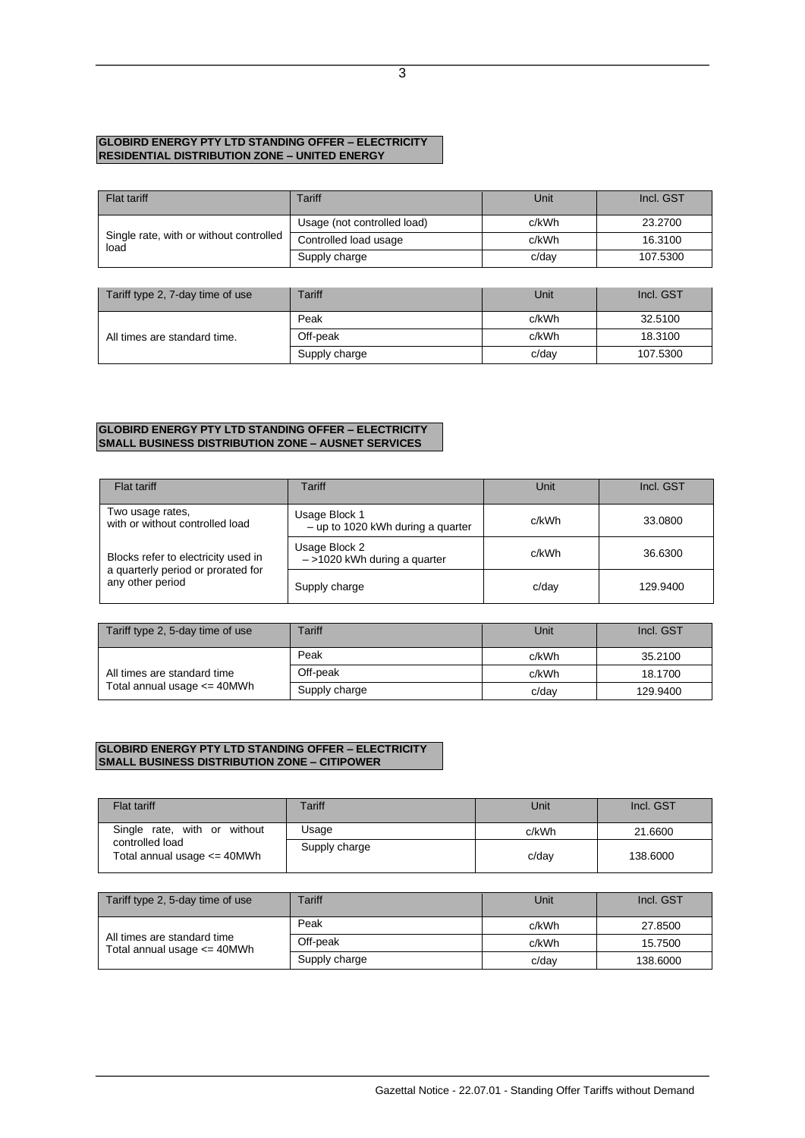## **GLOBIRD ENERGY PTY LTD STANDING OFFER – ELECTRICITY RESIDENTIAL DISTRIBUTION ZONE – UNITED ENERGY**

| <b>Flat tariff</b>                              | Tariff                      | Unit  | Incl. GST |
|-------------------------------------------------|-----------------------------|-------|-----------|
| Single rate, with or without controlled<br>load | Usage (not controlled load) | c/kWh | 23,2700   |
|                                                 | Controlled load usage       | c/kWh | 16.3100   |
|                                                 | Supply charge               | c/dav | 107.5300  |

| Tariff type 2, 7-day time of use | Tariff        | Unit  | Incl. GST |
|----------------------------------|---------------|-------|-----------|
| All times are standard time.     | Peak          | c/kWh | 32.5100   |
|                                  | Off-peak      | c/kWh | 18.3100   |
|                                  | Supply charge | c/dav | 107.5300  |

### **GLOBIRD ENERGY PTY LTD STANDING OFFER – ELECTRICITY SMALL BUSINESS DISTRIBUTION ZONE – AUSNET SERVICES**

| Flat tariff                                                                                   | Tariff                                               | Unit  | Incl. GST |
|-----------------------------------------------------------------------------------------------|------------------------------------------------------|-------|-----------|
| Two usage rates,<br>with or without controlled load                                           | Usage Block 1<br>$-$ up to 1020 kWh during a quarter | c/kWh | 33.0800   |
| Blocks refer to electricity used in<br>a quarterly period or prorated for<br>any other period | Usage Block 2<br>$-$ >1020 kWh during a quarter      | c/kWh | 36.6300   |
|                                                                                               | Supply charge                                        | c/day | 129.9400  |

| Tariff type 2, 5-day time of use                               | Tariff        | Unit  | Incl. GST |
|----------------------------------------------------------------|---------------|-------|-----------|
| All times are standard time<br>Total annual usage $\leq$ 40MWh | Peak          | c/kWh | 35,2100   |
|                                                                | Off-peak      | c/kWh | 18.1700   |
|                                                                | Supply charge | c/dav | 129.9400  |

### **GLOBIRD ENERGY PTY LTD STANDING OFFER – ELECTRICITY SMALL BUSINESS DISTRIBUTION ZONE – CITIPOWER**

| <b>Flat tariff</b>                                                                 | Tariff        | Unit  | Incl. GST |
|------------------------------------------------------------------------------------|---------------|-------|-----------|
| Single rate, with or without<br>controlled load<br>Total annual usage $\leq$ 40MWh | Usage         | c/kWh | 21.6600   |
|                                                                                    | Supply charge | c/day | 138,6000  |

| Tariff type 2, 5-day time of use                               | Tariff        | Unit     | Incl. GST |
|----------------------------------------------------------------|---------------|----------|-----------|
| All times are standard time<br>Total annual usage $\leq$ 40MWh | Peak          | c/kWh    | 27,8500   |
|                                                                | Off-peak      | c/kWh    | 15.7500   |
|                                                                | Supply charge | $c$ /day | 138,6000  |